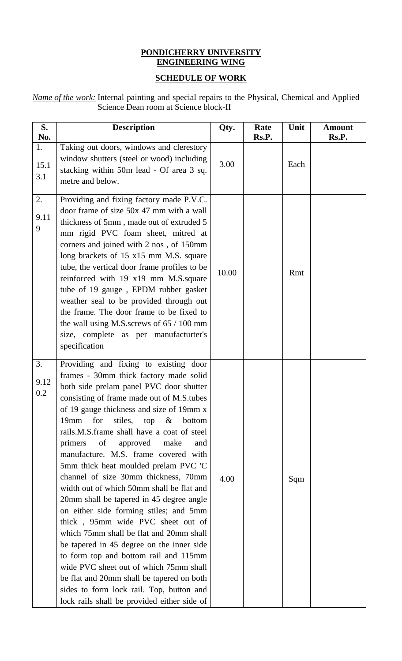## **PONDICHERRY UNIVERSITY ENGINEERING WING**

# **SCHEDULE OF WORK**

*Name of the work:* Internal painting and special repairs to the Physical, Chemical and Applied Science Dean room at Science block-II

| S.<br>No.         | <b>Description</b>                                                                                                                                                                                                                                                                                                                                                                                                                                                                                                                                                                                                                                                                                                                                                                                                                                                                                                                                             | Qty.  | Rate<br>Rs.P. | Unit | <b>Amount</b><br>Rs.P. |
|-------------------|----------------------------------------------------------------------------------------------------------------------------------------------------------------------------------------------------------------------------------------------------------------------------------------------------------------------------------------------------------------------------------------------------------------------------------------------------------------------------------------------------------------------------------------------------------------------------------------------------------------------------------------------------------------------------------------------------------------------------------------------------------------------------------------------------------------------------------------------------------------------------------------------------------------------------------------------------------------|-------|---------------|------|------------------------|
| 1.<br>15.1<br>3.1 | Taking out doors, windows and clerestory<br>window shutters (steel or wood) including<br>stacking within 50m lead - Of area 3 sq.<br>metre and below.                                                                                                                                                                                                                                                                                                                                                                                                                                                                                                                                                                                                                                                                                                                                                                                                          | 3.00  |               | Each |                        |
| 2.<br>9.11<br>9   | Providing and fixing factory made P.V.C.<br>door frame of size 50x 47 mm with a wall<br>thickness of 5mm, made out of extruded 5<br>mm rigid PVC foam sheet, mitred at<br>corners and joined with 2 nos, of 150mm<br>long brackets of 15 x15 mm M.S. square<br>tube, the vertical door frame profiles to be<br>reinforced with 19 x19 mm M.S.square<br>tube of 19 gauge, EPDM rubber gasket<br>weather seal to be provided through out<br>the frame. The door frame to be fixed to<br>the wall using M.S. screws of $65 / 100$ mm<br>size, complete as per manufacturter's<br>specification                                                                                                                                                                                                                                                                                                                                                                    | 10.00 |               | Rmt  |                        |
| 3.<br>9.12<br>0.2 | Providing and fixing to existing door<br>frames - 30mm thick factory made solid<br>both side prelam panel PVC door shutter<br>consisting of frame made out of M.S.tubes<br>of 19 gauge thickness and size of 19mm x<br>19mm for stiles, top & bottom<br>rails.M.S.frame shall have a coat of steel<br>primers<br>of<br>approved make<br>and<br>manufacture. M.S. frame covered with<br>5mm thick heat moulded prelam PVC 'C<br>channel of size 30mm thickness, 70mm<br>width out of which 50mm shall be flat and<br>20mm shall be tapered in 45 degree angle<br>on either side forming stiles; and 5mm<br>thick, 95mm wide PVC sheet out of<br>which 75mm shall be flat and 20mm shall<br>be tapered in 45 degree on the inner side<br>to form top and bottom rail and 115mm<br>wide PVC sheet out of which 75mm shall<br>be flat and 20mm shall be tapered on both<br>sides to form lock rail. Top, button and<br>lock rails shall be provided either side of | 4.00  |               | Sqm  |                        |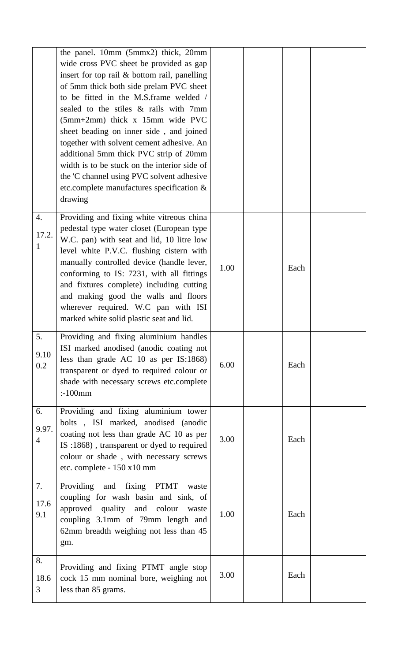|                               | the panel. 10mm (5mmx2) thick, 20mm<br>wide cross PVC sheet be provided as gap<br>insert for top rail & bottom rail, panelling<br>of 5mm thick both side prelam PVC sheet<br>to be fitted in the M.S.frame welded /<br>sealed to the stiles & rails with 7mm<br>$(5mm+2mm)$ thick x 15mm wide PVC<br>sheet beading on inner side, and joined<br>together with solvent cement adhesive. An<br>additional 5mm thick PVC strip of 20mm<br>width is to be stuck on the interior side of<br>the 'C channel using PVC solvent adhesive<br>etc.complete manufactures specification &<br>drawing |      |      |  |
|-------------------------------|------------------------------------------------------------------------------------------------------------------------------------------------------------------------------------------------------------------------------------------------------------------------------------------------------------------------------------------------------------------------------------------------------------------------------------------------------------------------------------------------------------------------------------------------------------------------------------------|------|------|--|
| 4.<br>17.2.<br>1              | Providing and fixing white vitreous china<br>pedestal type water closet (European type<br>W.C. pan) with seat and lid, 10 litre low<br>level white P.V.C. flushing cistern with<br>manually controlled device (handle lever,<br>conforming to IS: 7231, with all fittings<br>and fixtures complete) including cutting<br>and making good the walls and floors<br>wherever required. W.C pan with ISI<br>marked white solid plastic seat and lid.                                                                                                                                         | 1.00 | Each |  |
| 5.<br>9.10<br>0.2             | Providing and fixing aluminium handles<br>ISI marked anodised (anodic coating not<br>less than grade AC 10 as per IS:1868)<br>transparent or dyed to required colour or<br>shade with necessary screws etc.complete<br>$:100$ mm                                                                                                                                                                                                                                                                                                                                                         | 6.00 | Each |  |
| 6.<br>9.97.<br>$\overline{4}$ | Providing and fixing aluminium tower<br>bolts, ISI marked, anodised (anodic<br>coating not less than grade AC 10 as per<br>IS :1868), transparent or dyed to required<br>colour or shade, with necessary screws<br>etc. complete - 150 x10 mm                                                                                                                                                                                                                                                                                                                                            | 3.00 | Each |  |
| 7.<br>17.6<br>9.1             | fixing PTMT<br>Providing and<br>waste<br>coupling for wash basin and sink, of<br>approved quality and colour<br>waste<br>coupling 3.1mm of 79mm length and<br>62mm breadth weighing not less than 45<br>gm.                                                                                                                                                                                                                                                                                                                                                                              | 1.00 | Each |  |
| 8.<br>18.6<br>3               | Providing and fixing PTMT angle stop<br>cock 15 mm nominal bore, weighing not<br>less than 85 grams.                                                                                                                                                                                                                                                                                                                                                                                                                                                                                     | 3.00 | Each |  |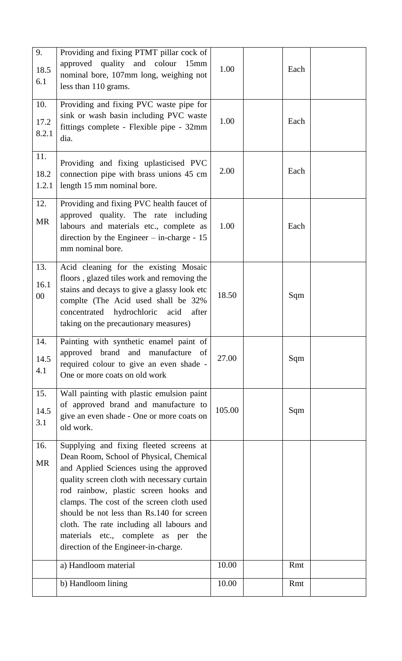| 9.<br>18.5<br>6.1     | Providing and fixing PTMT pillar cock of<br>approved quality and colour 15mm<br>nominal bore, 107mm long, weighing not<br>less than 110 grams.                                                                                                                                                                                                                                                                                                 | 1.00   | Each |  |
|-----------------------|------------------------------------------------------------------------------------------------------------------------------------------------------------------------------------------------------------------------------------------------------------------------------------------------------------------------------------------------------------------------------------------------------------------------------------------------|--------|------|--|
| 10.<br>17.2<br>8.2.1  | Providing and fixing PVC waste pipe for<br>sink or wash basin including PVC waste<br>fittings complete - Flexible pipe - 32mm<br>dia.                                                                                                                                                                                                                                                                                                          | 1.00   | Each |  |
| 11.<br>18.2<br>1.2.1  | Providing and fixing uplasticised PVC<br>connection pipe with brass unions 45 cm<br>length 15 mm nominal bore.                                                                                                                                                                                                                                                                                                                                 | 2.00   | Each |  |
| 12.<br><b>MR</b>      | Providing and fixing PVC health faucet of<br>approved quality. The rate including<br>labours and materials etc., complete as<br>direction by the Engineer $-$ in-charge - 15<br>mm nominal bore.                                                                                                                                                                                                                                               | 1.00   | Each |  |
| 13.<br>16.1<br>$00\,$ | Acid cleaning for the existing Mosaic<br>floors, glazed tiles work and removing the<br>stains and decays to give a glassy look etc<br>complte (The Acid used shall be 32%<br>concentrated hydrochloric acid<br>after<br>taking on the precautionary measures)                                                                                                                                                                                  | 18.50  | Sqm  |  |
| 14.<br>14.5<br>4.1    | Painting with synthetic enamel paint of<br>approved brand and<br>manufacture of<br>required colour to give an even shade -<br>One or more coats on old work                                                                                                                                                                                                                                                                                    | 27.00  | Sqm  |  |
| 15.<br>14.5<br>3.1    | Wall painting with plastic emulsion paint<br>of approved brand and manufacture to<br>give an even shade - One or more coats on<br>old work.                                                                                                                                                                                                                                                                                                    | 105.00 | Sqm  |  |
| 16.<br><b>MR</b>      | Supplying and fixing fleeted screens at<br>Dean Room, School of Physical, Chemical<br>and Applied Sciences using the approved<br>quality screen cloth with necessary curtain<br>rod rainbow, plastic screen hooks and<br>clamps. The cost of the screen cloth used<br>should be not less than Rs.140 for screen<br>cloth. The rate including all labours and<br>materials etc., complete as per<br>the<br>direction of the Engineer-in-charge. |        |      |  |
|                       | a) Handloom material                                                                                                                                                                                                                                                                                                                                                                                                                           | 10.00  | Rmt  |  |
|                       | b) Handloom lining                                                                                                                                                                                                                                                                                                                                                                                                                             | 10.00  | Rmt  |  |